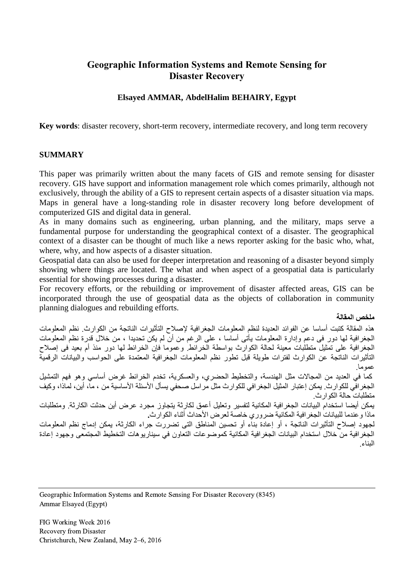# **Geographic Information Systems and Remote Sensing for Disaster Recovery**

## **Elsayed AMMAR, AbdelHalim BEHAIRY, Egypt**

**Key words**: disaster recovery, short-term recovery, intermediate recovery, and long term recovery

### **SUMMARY**

This paper was primarily written about the many facets of GIS and remote sensing for disaster recovery. GIS have support and information management role which comes primarily, although not exclusively, through the ability of a GIS to represent certain aspects of a disaster situation via maps. Maps in general have a long-standing role in disaster recovery long before development of computerized GIS and digital data in general.

As in many domains such as engineering, urban planning, and the military, maps serve a fundamental purpose for understanding the geographical context of a disaster. The geographical context of a disaster can be thought of much like a news reporter asking for the basic who, what, where, why, and how aspects of a disaster situation.

Geospatial data can also be used for deeper interpretation and reasoning of a disaster beyond simply showing where things are located. The what and when aspect of a geospatial data is particularly essential for showing processes during a disaster.

For recovery efforts, or the rebuilding or improvement of disaster affected areas, GIS can be incorporated through the use of geospatial data as the objects of collaboration in community planning dialogues and rebuilding efforts.

### **ملخص المقالة**

هذه المقالة كتبت أساسا عن الفوائد العديدة لنظم المعلومات الجغرافية لإصلاح التأثيرات الناتجة من الكوارث. نظم المعلومات الجغرافية لها دور فى دعم وإدارة المعلومات يثجى أساسا ، على الرغم من أن لم يكن جحديدا ، من خحال قدرة نظم المعلومات الجغرافية على تمثيل متطلبات معينة لحالة الكوارث بواسطة الخرائط وعموما فإن الخرائط لها دور منذ أم بعيد فى إصلاح التثييرات الناججة عن الكوارث لفترات طويلة قبل جطور نظم المعلومات الجغرافية المعتمدة على الحواسب والبيانات الرقمية عموما.

كماً في العديد من المجالات مثل الهندسة، والتخطيط الحضري، والعسكرية، تخدم الخرائط غرض أساسي وهو فهم التمشيل الجغرافي للكوارث. يمكن إعتبار المثيل الجغرافي للكوارث مثل مراسل صحفي يسأل الأسئلة الأساسية من ، ما، أين، لماذا، وكيف متطلبات حالة الكوارث.

يمكن أيضا استخدام البيانات الجغرافية المكانية لتفسير وجعليل أعمق لكارية يتجاوز مجرد عرض أين حديت الكارية. ومتطلبات ماذا وعندما للبيانات الجغرافية المكانية ضروري خالصة لعرض األحداث أيناء الكوارث**.**

لجهود إصلاح التأثيرات الناتجة ، أو إعادة بناء أو تحسين المناطق التى تضررت جراء الكارثة، يمكن إدماج نظم المعلومات الجغرافية من خحال استخدام البيانات الجغرافية المكانية كموضوعات التعاون في سيناريوهات التخطيط المجتمعى وجهود إعادة البناء.

Geographic Information Systems and Remote Sensing For Disaster Recovery (8345) Ammar Elsayed (Egypt)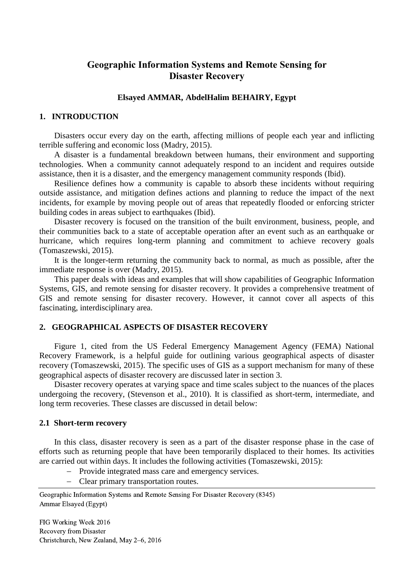# **Geographic Information Systems and Remote Sensing for Disaster Recovery**

### **Elsayed AMMAR, AbdelHalim BEHAIRY, Egypt**

### **1. INTRODUCTION**

Disasters occur every day on the earth, affecting millions of people each year and inflicting terrible suffering and economic loss (Madry, 2015).

A disaster is a fundamental breakdown between humans, their environment and supporting technologies. When a community cannot adequately respond to an incident and requires outside assistance, then it is a disaster, and the emergency management community responds (Ibid).

Resilience defines how a community is capable to absorb these incidents without requiring outside assistance, and mitigation defines actions and planning to reduce the impact of the next incidents, for example by moving people out of areas that repeatedly flooded or enforcing stricter building codes in areas subject to earthquakes (Ibid).

Disaster recovery is focused on the transition of the built environment, business, people, and their communities back to a state of acceptable operation after an event such as an earthquake or hurricane, which requires long-term planning and commitment to achieve recovery goals (Tomaszewski, 2015).

It is the longer-term returning the community back to normal, as much as possible, after the immediate response is over (Madry, 2015).

This paper deals with ideas and examples that will show capabilities of Geographic Information Systems, GIS, and remote sensing for disaster recovery. It provides a comprehensive treatment of GIS and remote sensing for disaster recovery. However, it cannot cover all aspects of this fascinating, interdisciplinary area.

## **2. GEOGRAPHICAL ASPECTS OF DISASTER RECOVERY**

Figure 1, cited from the US Federal Emergency Management Agency (FEMA) National Recovery Framework, is a helpful guide for outlining various geographical aspects of disaster recovery (Tomaszewski, 2015). The specific uses of GIS as a support mechanism for many of these geographical aspects of disaster recovery are discussed later in section 3.

Disaster recovery operates at varying space and time scales subject to the nuances of the places undergoing the recovery, (Stevenson et al., 2010). It is classified as short-term, intermediate, and long term recoveries. These classes are discussed in detail below:

#### **2.1 Short-term recovery**

In this class, disaster recovery is seen as a part of the disaster response phase in the case of efforts such as returning people that have been temporarily displaced to their homes. Its activities are carried out within days. It includes the following activities (Tomaszewski, 2015):

- Provide integrated mass care and emergency services.
- Clear primary transportation routes.

Geographic Information Systems and Remote Sensing For Disaster Recovery (8345) Ammar Elsayed (Egypt)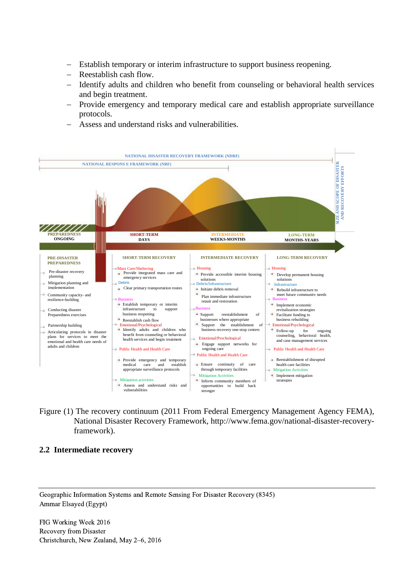- Establish temporary or interim infrastructure to support business reopening.
- Reestablish cash flow.
- Identify adults and children who benefit from counseling or behavioral health services and begin treatment.
- Provide emergency and temporary medical care and establish appropriate surveillance protocols.
- Assess and understand risks and vulnerabilities.



Figure (1) The recovery continuum (2011 From Federal Emergency Management Agency FEMA), National Disaster Recovery Framework, http://www.fema.gov/national-disaster-recoveryframework).

## **2.2 Intermediate recovery**

Geographic Information Systems and Remote Sensing For Disaster Recovery (8345) Ammar Elsayed (Egypt)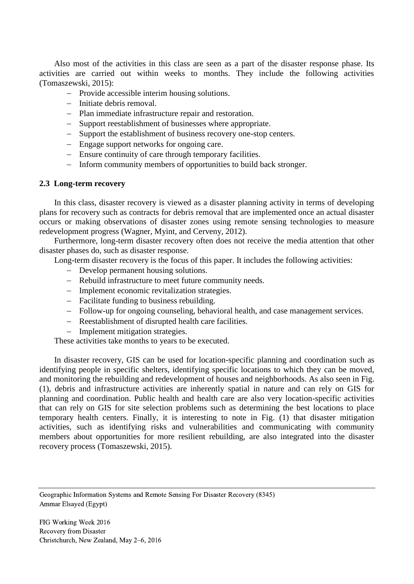Also most of the activities in this class are seen as a part of the disaster response phase. Its activities are carried out within weeks to months. They include the following activities (Tomaszewski, 2015):

- Provide accessible interim housing solutions.
- $-$  Initiate debris removal.
- Plan immediate infrastructure repair and restoration.
- Support reestablishment of businesses where appropriate.
- Support the establishment of business recovery one-stop centers.
- Engage support networks for ongoing care.
- Ensure continuity of care through temporary facilities.
- Inform community members of opportunities to build back stronger.

#### **2.3 Long-term recovery**

In this class, disaster recovery is viewed as a disaster planning activity in terms of developing plans for recovery such as contracts for debris removal that are implemented once an actual disaster occurs or making observations of disaster zones using remote sensing technologies to measure redevelopment progress (Wagner, Myint, and Cerveny, 2012).

Furthermore, long-term disaster recovery often does not receive the media attention that other disaster phases do, such as disaster response.

Long-term disaster recovery is the focus of this paper. It includes the following activities:

- Develop permanent housing solutions.
- Rebuild infrastructure to meet future community needs.
- Implement economic revitalization strategies.
- Facilitate funding to business rebuilding.
- Follow-up for ongoing counseling, behavioral health, and case management services.
- Reestablishment of disrupted health care facilities.
- Implement mitigation strategies.

These activities take months to years to be executed.

In disaster recovery, GIS can be used for location-specific planning and coordination such as identifying people in specific shelters, identifying specific locations to which they can be moved, and monitoring the rebuilding and redevelopment of houses and neighborhoods. As also seen in Fig. (1), debris and infrastructure activities are inherently spatial in nature and can rely on GIS for planning and coordination. Public health and health care are also very location-specific activities that can rely on GIS for site selection problems such as determining the best locations to place temporary health centers. Finally, it is interesting to note in Fig. (1) that disaster mitigation activities, such as identifying risks and vulnerabilities and communicating with community members about opportunities for more resilient rebuilding, are also integrated into the disaster recovery process (Tomaszewski, 2015).

Geographic Information Systems and Remote Sensing For Disaster Recovery (8345) Ammar Elsayed (Egypt)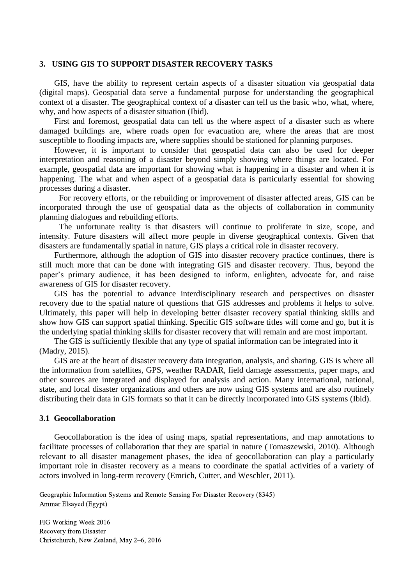#### **3. USING GIS TO SUPPORT DISASTER RECOVERY TASKS**

GIS, have the ability to represent certain aspects of a disaster situation via geospatial data (digital maps). Geospatial data serve a fundamental purpose for understanding the geographical context of a disaster. The geographical context of a disaster can tell us the basic who, what, where, why, and how aspects of a disaster situation (Ibid).

First and foremost, geospatial data can tell us the where aspect of a disaster such as where damaged buildings are, where roads open for evacuation are, where the areas that are most susceptible to flooding impacts are, where supplies should be stationed for planning purposes.

However, it is important to consider that geospatial data can also be used for deeper interpretation and reasoning of a disaster beyond simply showing where things are located. For example, geospatial data are important for showing what is happening in a disaster and when it is happening. The what and when aspect of a geospatial data is particularly essential for showing processes during a disaster.

For recovery efforts, or the rebuilding or improvement of disaster affected areas, GIS can be incorporated through the use of geospatial data as the objects of collaboration in community planning dialogues and rebuilding efforts.

The unfortunate reality is that disasters will continue to proliferate in size, scope, and intensity. Future disasters will affect more people in diverse geographical contexts. Given that disasters are fundamentally spatial in nature, GIS plays a critical role in disaster recovery.

Furthermore, although the adoption of GIS into disaster recovery practice continues, there is still much more that can be done with integrating GIS and disaster recovery. Thus, beyond the paper's primary audience, it has been designed to inform, enlighten, advocate for, and raise awareness of GIS for disaster recovery.

GIS has the potential to advance interdisciplinary research and perspectives on disaster recovery due to the spatial nature of questions that GIS addresses and problems it helps to solve. Ultimately, this paper will help in developing better disaster recovery spatial thinking skills and show how GIS can support spatial thinking. Specific GIS software titles will come and go, but it is the underlying spatial thinking skills for disaster recovery that will remain and are most important.

The GIS is sufficiently flexible that any type of spatial information can be integrated into it (Madry, 2015).

GIS are at the heart of disaster recovery data integration, analysis, and sharing. GIS is where all the information from satellites, GPS, weather RADAR, field damage assessments, paper maps, and other sources are integrated and displayed for analysis and action. Many international, national, state, and local disaster organizations and others are now using GIS systems and are also routinely distributing their data in GIS formats so that it can be directly incorporated into GIS systems (Ibid).

#### **3.1 Geocollaboration**

Geocollaboration is the idea of using maps, spatial representations, and map annotations to facilitate processes of collaboration that they are spatial in nature (Tomaszewski, 2010). Although relevant to all disaster management phases, the idea of geocollaboration can play a particularly important role in disaster recovery as a means to coordinate the spatial activities of a variety of actors involved in long-term recovery (Emrich, Cutter, and Weschler, 2011).

Geographic Information Systems and Remote Sensing For Disaster Recovery (8345) Ammar Elsayed (Egypt)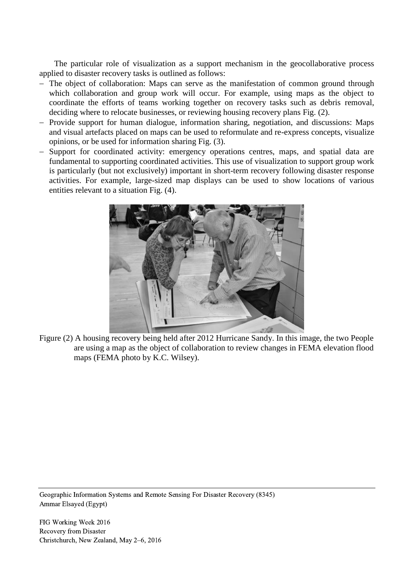The particular role of visualization as a support mechanism in the geocollaborative process applied to disaster recovery tasks is outlined as follows:

- The object of collaboration: Maps can serve as the manifestation of common ground through which collaboration and group work will occur. For example, using maps as the object to coordinate the efforts of teams working together on recovery tasks such as debris removal, deciding where to relocate businesses, or reviewing housing recovery plans Fig. (2).
- Provide support for human dialogue, information sharing, negotiation, and discussions: Maps and visual artefacts placed on maps can be used to reformulate and re-express concepts, visualize opinions, or be used for information sharing Fig. (3).
- Support for coordinated activity: emergency operations centres, maps, and spatial data are fundamental to supporting coordinated activities. This use of visualization to support group work is particularly (but not exclusively) important in short-term recovery following disaster response activities. For example, large-sized map displays can be used to show locations of various entities relevant to a situation Fig. (4).



Figure (2) A housing recovery being held after 2012 Hurricane Sandy. In this image, the two People are using a map as the object of collaboration to review changes in FEMA elevation flood maps (FEMA photo by K.C. Wilsey).

Geographic Information Systems and Remote Sensing For Disaster Recovery (8345) Ammar Elsayed (Egypt)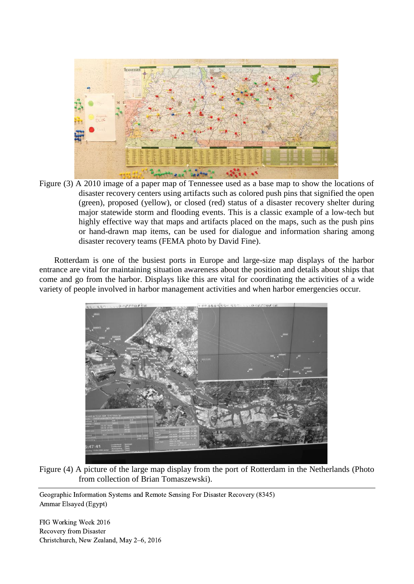

Figure (3) A 2010 image of a paper map of Tennessee used as a base map to show the locations of disaster recovery centers using artifacts such as colored push pins that signified the open (green), proposed (yellow), or closed (red) status of a disaster recovery shelter during major statewide storm and flooding events. This is a classic example of a low-tech but highly effective way that maps and artifacts placed on the maps, such as the push pins or hand-drawn map items, can be used for dialogue and information sharing among disaster recovery teams (FEMA photo by David Fine).

Rotterdam is one of the busiest ports in Europe and large-size map displays of the harbor entrance are vital for maintaining situation awareness about the position and details about ships that come and go from the harbor. Displays like this are vital for coordinating the activities of a wide variety of people involved in harbor management activities and when harbor emergencies occur.



Figure (4) A picture of the large map display from the port of Rotterdam in the Netherlands (Photo from collection of Brian Tomaszewski).

Geographic Information Systems and Remote Sensing For Disaster Recovery (8345) Ammar Elsayed (Egypt)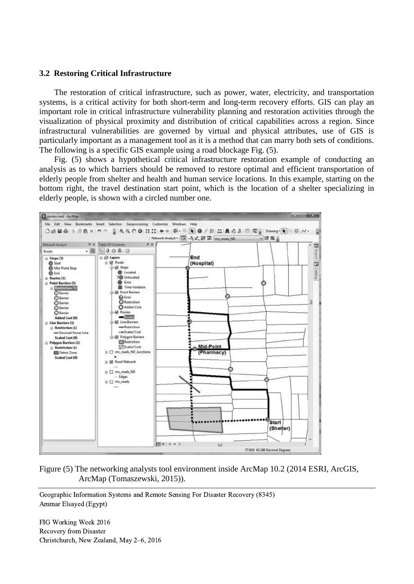#### **3.2 Restoring Critical Infrastructure**

The restoration of critical infrastructure, such as power, water, electricity, and transportation systems, is a critical activity for both short-term and long-term recovery efforts. GIS can play an important role in critical infrastructure vulnerability planning and restoration activities through the visualization of physical proximity and distribution of critical capabilities across a region. Since infrastructural vulnerabilities are governed by virtual and physical attributes, use of GIS is particularly important as a management tool as it is a method that can marry both sets of conditions. The following is a specific GIS example using a road blockage Fig. (5).

Fig. (5) shows a hypothetical critical infrastructure restoration example of conducting an analysis as to which barriers should be removed to restore optimal and efficient transportation of elderly people from shelter and health and human service locations. In this example, starting on the bottom right, the travel destination start point, which is the location of a shelter specializing in elderly people, is shown with a circled number one.



## Figure (5) The networking analysts tool environment inside ArcMap 10.2 (2014 ESRI, ArcGIS, ArcMap (Tomaszewski, 2015)).

Geographic Information Systems and Remote Sensing For Disaster Recovery (8345) Ammar Elsayed (Egypt)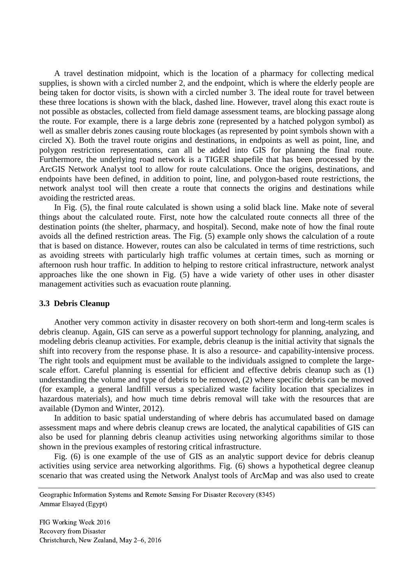A travel destination midpoint, which is the location of a pharmacy for collecting medical supplies, is shown with a circled number 2, and the endpoint, which is where the elderly people are being taken for doctor visits, is shown with a circled number 3. The ideal route for travel between these three locations is shown with the black, dashed line. However, travel along this exact route is not possible as obstacles, collected from field damage assessment teams, are blocking passage along the route. For example, there is a large debris zone (represented by a hatched polygon symbol) as well as smaller debris zones causing route blockages (as represented by point symbols shown with a circled X). Both the travel route origins and destinations, in endpoints as well as point, line, and polygon restriction representations, can all be added into GIS for planning the final route. Furthermore, the underlying road network is a TIGER shapefile that has been processed by the ArcGIS Network Analyst tool to allow for route calculations. Once the origins, destinations, and endpoints have been defined, in addition to point, line, and polygon-based route restrictions, the network analyst tool will then create a route that connects the origins and destinations while avoiding the restricted areas.

In Fig. (5), the final route calculated is shown using a solid black line. Make note of several things about the calculated route. First, note how the calculated route connects all three of the destination points (the shelter, pharmacy, and hospital). Second, make note of how the final route avoids all the defined restriction areas. The Fig. (5) example only shows the calculation of a route that is based on distance. However, routes can also be calculated in terms of time restrictions, such as avoiding streets with particularly high traffic volumes at certain times, such as morning or afternoon rush hour traffic. In addition to helping to restore critical infrastructure, network analyst approaches like the one shown in Fig. (5) have a wide variety of other uses in other disaster management activities such as evacuation route planning.

#### **3.3 Debris Cleanup**

Another very common activity in disaster recovery on both short-term and long-term scales is debris cleanup. Again, GIS can serve as a powerful support technology for planning, analyzing, and modeling debris cleanup activities. For example, debris cleanup is the initial activity that signals the shift into recovery from the response phase. It is also a resource- and capability-intensive process. The right tools and equipment must be available to the individuals assigned to complete the largescale effort. Careful planning is essential for efficient and effective debris cleanup such as (1) understanding the volume and type of debris to be removed, (2) where specific debris can be moved (for example, a general landfill versus a specialized waste facility location that specializes in hazardous materials), and how much time debris removal will take with the resources that are available (Dymon and Winter, 2012).

In addition to basic spatial understanding of where debris has accumulated based on damage assessment maps and where debris cleanup crews are located, the analytical capabilities of GIS can also be used for planning debris cleanup activities using networking algorithms similar to those shown in the previous examples of restoring critical infrastructure.

Fig. (6) is one example of the use of GIS as an analytic support device for debris cleanup activities using service area networking algorithms. Fig. (6) shows a hypothetical degree cleanup scenario that was created using the Network Analyst tools of ArcMap and was also used to create

Geographic Information Systems and Remote Sensing For Disaster Recovery (8345) Ammar Elsayed (Egypt)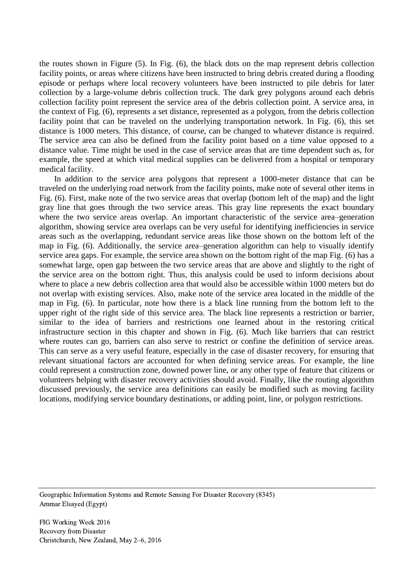the routes shown in Figure (5). In Fig. (6), the black dots on the map represent debris collection facility points, or areas where citizens have been instructed to bring debris created during a flooding episode or perhaps where local recovery volunteers have been instructed to pile debris for later collection by a large-volume debris collection truck. The dark grey polygons around each debris collection facility point represent the service area of the debris collection point. A service area, in the context of Fig. (6), represents a set distance, represented as a polygon, from the debris collection facility point that can be traveled on the underlying transportation network. In Fig. (6), this set distance is 1000 meters. This distance, of course, can be changed to whatever distance is required. The service area can also be defined from the facility point based on a time value opposed to a distance value. Time might be used in the case of service areas that are time dependent such as, for example, the speed at which vital medical supplies can be delivered from a hospital or temporary medical facility.

In addition to the service area polygons that represent a 1000-meter distance that can be traveled on the underlying road network from the facility points, make note of several other items in Fig. (6). First, make note of the two service areas that overlap (bottom left of the map) and the light gray line that goes through the two service areas. This gray line represents the exact boundary where the two service areas overlap. An important characteristic of the service area–generation algorithm, showing service area overlaps can be very useful for identifying inefficiencies in service areas such as the overlapping, redundant service areas like those shown on the bottom left of the map in Fig. (6). Additionally, the service area–generation algorithm can help to visually identify service area gaps. For example, the service area shown on the bottom right of the map Fig. (6) has a somewhat large, open gap between the two service areas that are above and slightly to the right of the service area on the bottom right. Thus, this analysis could be used to inform decisions about where to place a new debris collection area that would also be accessible within 1000 meters but do not overlap with existing services. Also, make note of the service area located in the middle of the map in Fig. (6). In particular, note how there is a black line running from the bottom left to the upper right of the right side of this service area. The black line represents a restriction or barrier, similar to the idea of barriers and restrictions one learned about in the restoring critical infrastructure section in this chapter and shown in Fig. (6). Much like barriers that can restrict where routes can go, barriers can also serve to restrict or confine the definition of service areas. This can serve as a very useful feature, especially in the case of disaster recovery, for ensuring that relevant situational factors are accounted for when defining service areas. For example, the line could represent a construction zone, downed power line, or any other type of feature that citizens or volunteers helping with disaster recovery activities should avoid. Finally, like the routing algorithm discussed previously, the service area definitions can easily be modified such as moving facility locations, modifying service boundary destinations, or adding point, line, or polygon restrictions.

Geographic Information Systems and Remote Sensing For Disaster Recovery (8345) Ammar Elsayed (Egypt)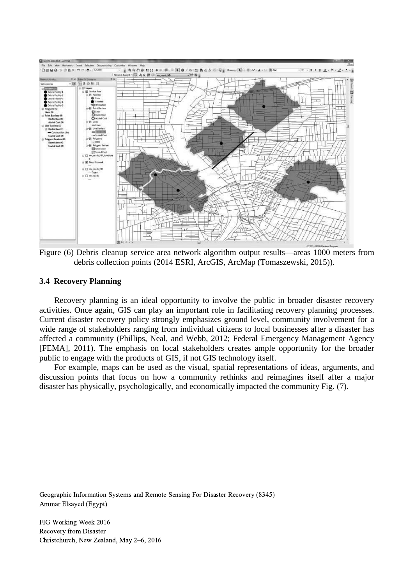

Figure (6) Debris cleanup service area network algorithm output results—areas 1000 meters from debris collection points (2014 ESRI, ArcGIS, ArcMap (Tomaszewski, 2015)).

#### **3.4 Recovery Planning**

Recovery planning is an ideal opportunity to involve the public in broader disaster recovery activities. Once again, GIS can play an important role in facilitating recovery planning processes. Current disaster recovery policy strongly emphasizes ground level, community involvement for a wide range of stakeholders ranging from individual citizens to local businesses after a disaster has affected a community (Phillips, Neal, and Webb, 2012; Federal Emergency Management Agency [FEMA], 2011). The emphasis on local stakeholders creates ample opportunity for the broader public to engage with the products of GIS, if not GIS technology itself.

For example, maps can be used as the visual, spatial representations of ideas, arguments, and discussion points that focus on how a community rethinks and reimagines itself after a major disaster has physically, psychologically, and economically impacted the community Fig. (7).

Geographic Information Systems and Remote Sensing For Disaster Recovery (8345) Ammar Elsayed (Egypt)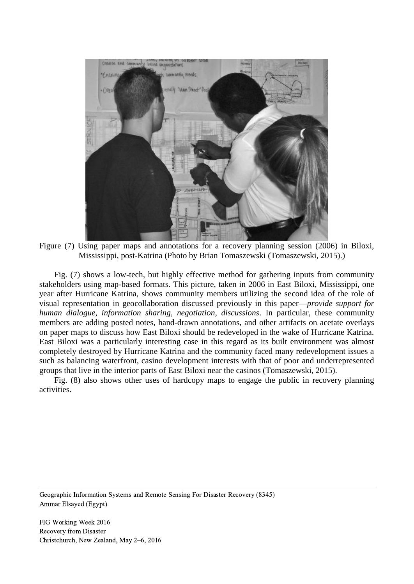

Figure (7) Using paper maps and annotations for a recovery planning session (2006) in Biloxi, Mississippi, post-Katrina (Photo by Brian Tomaszewski (Tomaszewski, 2015).)

Fig. (7) shows a low-tech, but highly effective method for gathering inputs from community stakeholders using map-based formats. This picture, taken in 2006 in East Biloxi, Mississippi, one year after Hurricane Katrina, shows community members utilizing the second idea of the role of visual representation in geocollaboration discussed previously in this paper—*provide support for human dialogue, information sharing, negotiation, discussions*. In particular, these community members are adding posted notes, hand-drawn annotations, and other artifacts on acetate overlays on paper maps to discuss how East Biloxi should be redeveloped in the wake of Hurricane Katrina. East Biloxi was a particularly interesting case in this regard as its built environment was almost completely destroyed by Hurricane Katrina and the community faced many redevelopment issues a such as balancing waterfront, casino development interests with that of poor and underrepresented groups that live in the interior parts of East Biloxi near the casinos (Tomaszewski, 2015).

Fig. (8) also shows other uses of hardcopy maps to engage the public in recovery planning activities.

Geographic Information Systems and Remote Sensing For Disaster Recovery (8345) Ammar Elsayed (Egypt)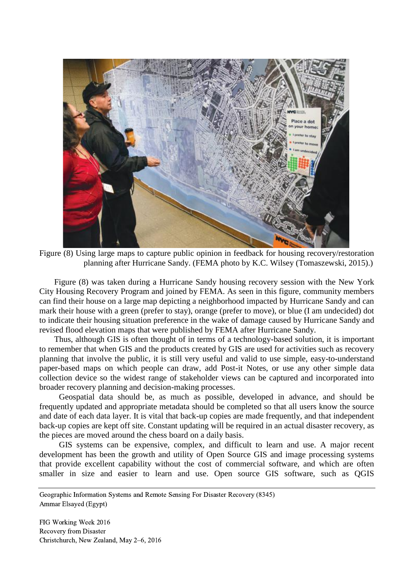

Figure (8) Using large maps to capture public opinion in feedback for housing recovery/restoration planning after Hurricane Sandy. (FEMA photo by K.C. Wilsey (Tomaszewski, 2015).)

Figure (8) was taken during a Hurricane Sandy housing recovery session with the New York City Housing Recovery Program and joined by FEMA. As seen in this figure, community members can find their house on a large map depicting a neighborhood impacted by Hurricane Sandy and can mark their house with a green (prefer to stay), orange (prefer to move), or blue (I am undecided) dot to indicate their housing situation preference in the wake of damage caused by Hurricane Sandy and revised flood elevation maps that were published by FEMA after Hurricane Sandy.

Thus, although GIS is often thought of in terms of a technology-based solution, it is important to remember that when GIS and the products created by GIS are used for activities such as recovery planning that involve the public, it is still very useful and valid to use simple, easy-to-understand paper-based maps on which people can draw, add Post-it Notes, or use any other simple data collection device so the widest range of stakeholder views can be captured and incorporated into broader recovery planning and decision-making processes.

Geospatial data should be, as much as possible, developed in advance, and should be frequently updated and appropriate metadata should be completed so that all users know the source and date of each data layer. It is vital that back-up copies are made frequently, and that independent back-up copies are kept off site. Constant updating will be required in an actual disaster recovery, as the pieces are moved around the chess board on a daily basis.

GIS systems can be expensive, complex, and difficult to learn and use. A major recent development has been the growth and utility of Open Source GIS and image processing systems that provide excellent capability without the cost of commercial software, and which are often smaller in size and easier to learn and use. Open source GIS software, such as QGIS

Geographic Information Systems and Remote Sensing For Disaster Recovery (8345) Ammar Elsayed (Egypt)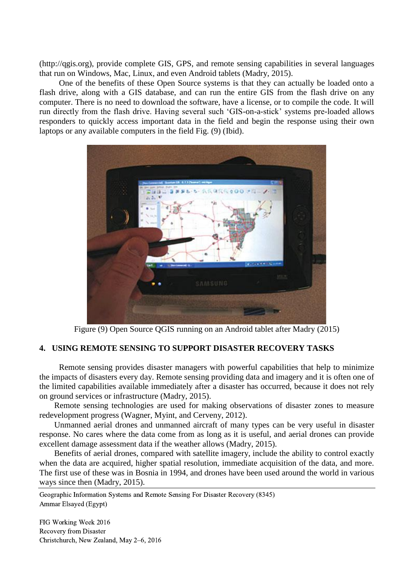(http://qgis.org), provide complete GIS, GPS, and remote sensing capabilities in several languages that run on Windows, Mac, Linux, and even Android tablets (Madry, 2015).

One of the benefits of these Open Source systems is that they can actually be loaded onto a flash drive, along with a GIS database, and can run the entire GIS from the flash drive on any computer. There is no need to download the software, have a license, or to compile the code. It will run directly from the flash drive. Having several such 'GIS-on-a-stick' systems pre-loaded allows responders to quickly access important data in the field and begin the response using their own laptops or any available computers in the field Fig. (9) (Ibid).



Figure (9) Open Source QGIS running on an Android tablet after Madry (2015)

## **4. USING REMOTE SENSING TO SUPPORT DISASTER RECOVERY TASKS**

Remote sensing provides disaster managers with powerful capabilities that help to minimize the impacts of disasters every day. Remote sensing providing data and imagery and it is often one of the limited capabilities available immediately after a disaster has occurred, because it does not rely on ground services or infrastructure (Madry, 2015).

Remote sensing technologies are used for making observations of disaster zones to measure redevelopment progress (Wagner, Myint, and Cerveny, 2012).

Unmanned aerial drones and unmanned aircraft of many types can be very useful in disaster response. No cares where the data come from as long as it is useful, and aerial drones can provide excellent damage assessment data if the weather allows (Madry, 2015).

Benefits of aerial drones, compared with satellite imagery, include the ability to control exactly when the data are acquired, higher spatial resolution, immediate acquisition of the data, and more. The first use of these was in Bosnia in 1994, and drones have been used around the world in various ways since then (Madry, 2015).

Geographic Information Systems and Remote Sensing For Disaster Recovery (8345) Ammar Elsayed (Egypt)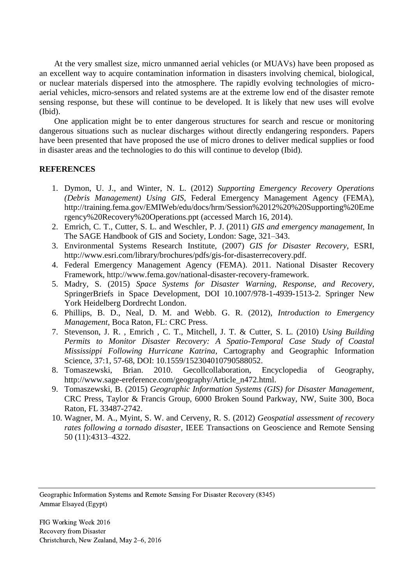At the very smallest size, micro unmanned aerial vehicles (or MUAVs) have been proposed as an excellent way to acquire contamination information in disasters involving chemical, biological, or nuclear materials dispersed into the atmosphere. The rapidly evolving technologies of microaerial vehicles, micro-sensors and related systems are at the extreme low end of the disaster remote sensing response, but these will continue to be developed. It is likely that new uses will evolve (Ibid).

One application might be to enter dangerous structures for search and rescue or monitoring dangerous situations such as nuclear discharges without directly endangering responders. Papers have been presented that have proposed the use of micro drones to deliver medical supplies or food in disaster areas and the technologies to do this will continue to develop (Ibid).

### **REFERENCES**

- 1. Dymon, U. J., and Winter, N. L. (2012) *Supporting Emergency Recovery Operations (Debris Management) Using GIS,* Federal Emergency Management Agency (FEMA), http://training.fema.gov/EMIWeb/edu/docs/hrm/Session%2012%20%20Supporting%20Eme rgency%20Recovery%20Operations.ppt (accessed March 16, 2014).
- 2. Emrich, C. T., Cutter, S. L. and Weschler, P. J. (2011) *GIS and emergency management,* In The SAGE Handbook of GIS and Society, London: Sage, 321–343.
- 3. Environmental Systems Research Institute, (2007) *GIS for Disaster Recovery*, ESRI, http://www.esri.com/library/brochures/pdfs/gis-for-disasterrecovery.pdf.
- 4. Federal Emergency Management Agency (FEMA). 2011. National Disaster Recovery Framework, http://www.fema.gov/national-disaster-recovery-framework.
- 5. Madry, S. (2015) *Space Systems for Disaster Warning, Response, and Recovery,* SpringerBriefs in Space Development, DOI 10.1007/978-1-4939-1513-2. Springer New York Heidelberg Dordrecht London.
- 6. Phillips, B. D., Neal, D. M. and Webb. G. R. (2012), *Introduction to Emergency Management*, Boca Raton, FL: CRC Press.
- 7. Stevenson, J. R. , Emrich , C. T., Mitchell, J. T. & Cutter, S. L. (2010) *Using Building Permits to Monitor Disaster Recovery: A Spatio-Temporal Case Study of Coastal Mississippi Following Hurricane Katrina*, Cartography and Geographic Information Science, 37:1, 57-68, DOI: 10.1559/152304010790588052.
- 8. Tomaszewski, Brian. 2010. Gecollcollaboration, Encyclopedia of Geography, http://www.sage-ereference.com/geography/Article\_n472.html.
- 9. Tomaszewski, B. (2015) *Geographic Information Systems (GIS) for Disaster Management,* CRC Press, Taylor & Francis Group, 6000 Broken Sound Parkway, NW, Suite 300, Boca Raton, FL 33487-2742.
- 10. Wagner, M. A., Myint, S. W. and Cerveny, R. S. (2012) *Geospatial assessment of recovery rates following a tornado disaster*, IEEE Transactions on Geoscience and Remote Sensing 50 (11):4313–4322.

Geographic Information Systems and Remote Sensing For Disaster Recovery (8345) Ammar Elsayed (Egypt)